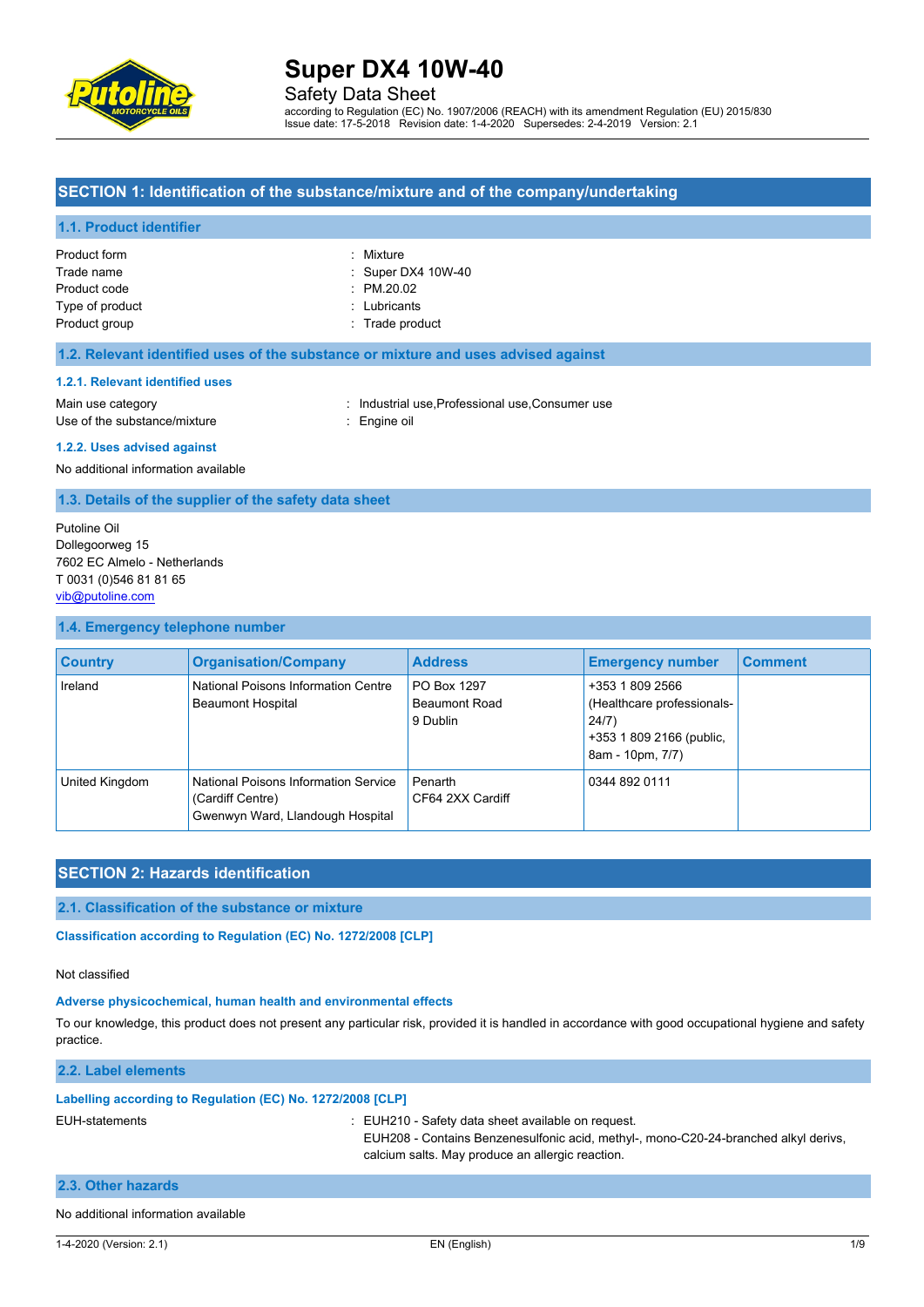

Safety Data Sheet

according to Regulation (EC) No. 1907/2006 (REACH) with its amendment Regulation (EU) 2015/830 Issue date: 17-5-2018 Revision date: 1-4-2020 Supersedes: 2-4-2019 Version: 2.1

### **SECTION 1: Identification of the substance/mixture and of the company/undertaking**

#### **1.1. Product identifier**

| Product form<br>Trade name | : Mixture<br>: Super DX4 10W-40 |
|----------------------------|---------------------------------|
| Product code               | $\therefore$ PM.20.02           |
| Type of product            | : Lubricants                    |
| Product group              | : Trade product                 |

### **1.2. Relevant identified uses of the substance or mixture and uses advised against**

### **1.2.1. Relevant identified uses**

Main use category **industrial use, Professional use, Consumer use** in Main use category Use of the substance/mixture : Engine oil

#### **1.2.2. Uses advised against**

No additional information available

**1.3. Details of the supplier of the safety data sheet**

Putoline Oil Dollegoorweg 15 7602 EC Almelo - Netherlands T 0031 (0)546 81 81 65 [vib@putoline.com](mailto:vib@putoline.com)

### **1.4. Emergency telephone number**

| <b>Country</b> | <b>Organisation/Company</b>                                                                  | <b>Address</b>                                  | <b>Emergency number</b>                                                                                | <b>Comment</b> |
|----------------|----------------------------------------------------------------------------------------------|-------------------------------------------------|--------------------------------------------------------------------------------------------------------|----------------|
| Ireland        | National Poisons Information Centre<br><b>Beaumont Hospital</b>                              | PO Box 1297<br><b>Beaumont Road</b><br>9 Dublin | +353 1 809 2566<br>(Healthcare professionals-<br>24/7)<br>+353 1 809 2166 (public,<br>8am - 10pm, 7/7) |                |
| United Kingdom | National Poisons Information Service<br>(Cardiff Centre)<br>Gwenwyn Ward, Llandough Hospital | Penarth<br>CF64 2XX Cardiff                     | 0344 892 0111                                                                                          |                |

# **SECTION 2: Hazards identification**

### **2.1. Classification of the substance or mixture**

Classification according to Regulation (EC) No. 1272/2008 [CLP]

#### Not classified

#### **Adverse physicochemical, human health and environmental effects**

To our knowledge, this product does not present any particular risk, provided it is handled in accordance with good occupational hygiene and safety practice.

#### **2.2. Label elements**

#### **Labelling according to Regulation (EC) No. 1272/2008 [CLP]**

EUH-statements : EUH210 - Safety data sheet available on request.

calcium salts. May produce an allergic reaction.

EUH208 - Contains Benzenesulfonic acid, methyl-, mono-C20-24-branched alkyl derivs,

**2.3. Other hazards**

# No additional information available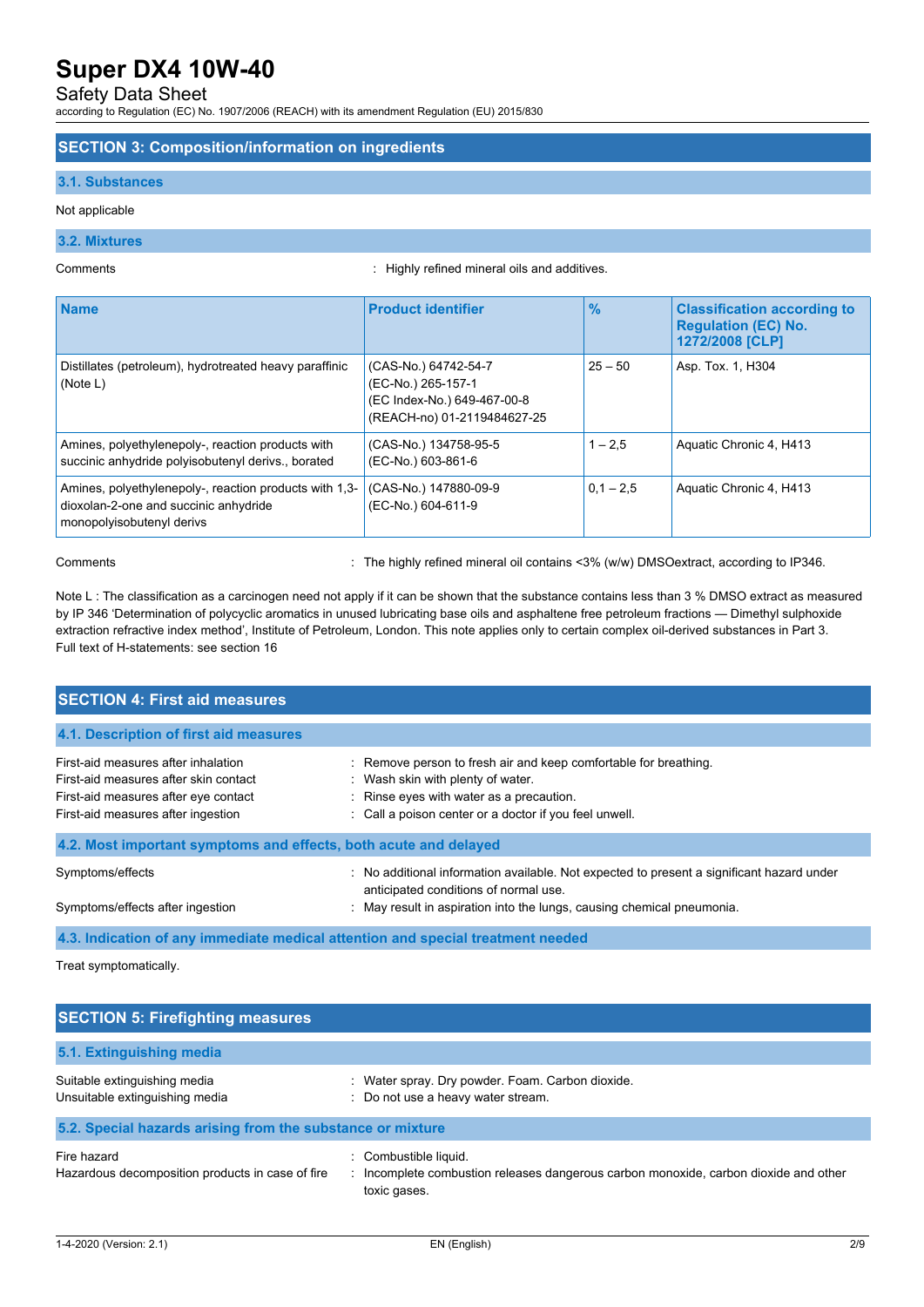### Safety Data Sheet

according to Regulation (EC) No. 1907/2006 (REACH) with its amendment Regulation (EU) 2015/830

### **SECTION 3: Composition/information on ingredients**

### **3.1. Substances**

### Not applicable

### **3.2. Mixtures**

Comments : Highly refined mineral oils and additives.

| <b>Name</b>                                                                                                                  | <b>Product identifier</b>                                                                                | $\frac{0}{0}$ | <b>Classification according to</b><br><b>Regulation (EC) No.</b><br>1272/2008 [CLP] |
|------------------------------------------------------------------------------------------------------------------------------|----------------------------------------------------------------------------------------------------------|---------------|-------------------------------------------------------------------------------------|
| Distillates (petroleum), hydrotreated heavy paraffinic<br>(Note L)                                                           | (CAS-No.) 64742-54-7<br>(EC-No.) 265-157-1<br>(EC Index-No.) 649-467-00-8<br>(REACH-no) 01-2119484627-25 | $25 - 50$     | Asp. Tox. 1, H304                                                                   |
| Amines, polyethylenepoly-, reaction products with<br>succinic anhydride polyisobutenyl derivs., borated                      | (CAS-No.) 134758-95-5<br>(EC-No.) 603-861-6                                                              | $1 - 2.5$     | Aquatic Chronic 4, H413                                                             |
| Amines, polyethylenepoly-, reaction products with 1,3-<br>dioxolan-2-one and succinic anhydride<br>monopolyisobutenyl derivs | (CAS-No.) 147880-09-9<br>(EC-No.) 604-611-9                                                              | $0.1 - 2.5$   | Aquatic Chronic 4, H413                                                             |

Comments : The highly refined mineral oil contains <3% (w/w) DMSOextract, according to IP346.

Note L : The classification as a carcinogen need not apply if it can be shown that the substance contains less than 3 % DMSO extract as measured by IP 346 'Determination of polycyclic aromatics in unused lubricating base oils and asphaltene free petroleum fractions — Dimethyl sulphoxide extraction refractive index method', Institute of Petroleum, London. This note applies only to certain complex oil-derived substances in Part 3. Full text of H-statements: see section 16

| <b>SECTION 4: First aid measures</b>                                                                                                                       |                                                                                                                                                                                                             |
|------------------------------------------------------------------------------------------------------------------------------------------------------------|-------------------------------------------------------------------------------------------------------------------------------------------------------------------------------------------------------------|
| 4.1. Description of first aid measures                                                                                                                     |                                                                                                                                                                                                             |
| First-aid measures after inhalation<br>First-aid measures after skin contact<br>First-aid measures after eye contact<br>First-aid measures after ingestion | : Remove person to fresh air and keep comfortable for breathing.<br>: Wash skin with plenty of water.<br>: Rinse eyes with water as a precaution.<br>: Call a poison center or a doctor if you feel unwell. |
| 4.2. Most important symptoms and effects, both acute and delayed                                                                                           |                                                                                                                                                                                                             |
| Symptoms/effects<br>Symptoms/effects after ingestion                                                                                                       | No additional information available. Not expected to present a significant hazard under<br>anticipated conditions of normal use.<br>: May result in aspiration into the lungs, causing chemical pneumonia.  |
|                                                                                                                                                            | 4.3. Indication of any immediate medical attention and special treatment needed                                                                                                                             |

Treat symptomatically.

| <b>SECTION 5: Firefighting measures</b>                         |                                                                                                                               |  |  |  |
|-----------------------------------------------------------------|-------------------------------------------------------------------------------------------------------------------------------|--|--|--|
| 5.1. Extinguishing media                                        |                                                                                                                               |  |  |  |
| Suitable extinguishing media<br>Unsuitable extinguishing media  | Water spray. Dry powder. Foam. Carbon dioxide.<br>÷<br>: Do not use a heavy water stream.                                     |  |  |  |
| 5.2. Special hazards arising from the substance or mixture      |                                                                                                                               |  |  |  |
| Fire hazard<br>Hazardous decomposition products in case of fire | : Combustible liquid.<br>: Incomplete combustion releases dangerous carbon monoxide, carbon dioxide and other<br>toxic gases. |  |  |  |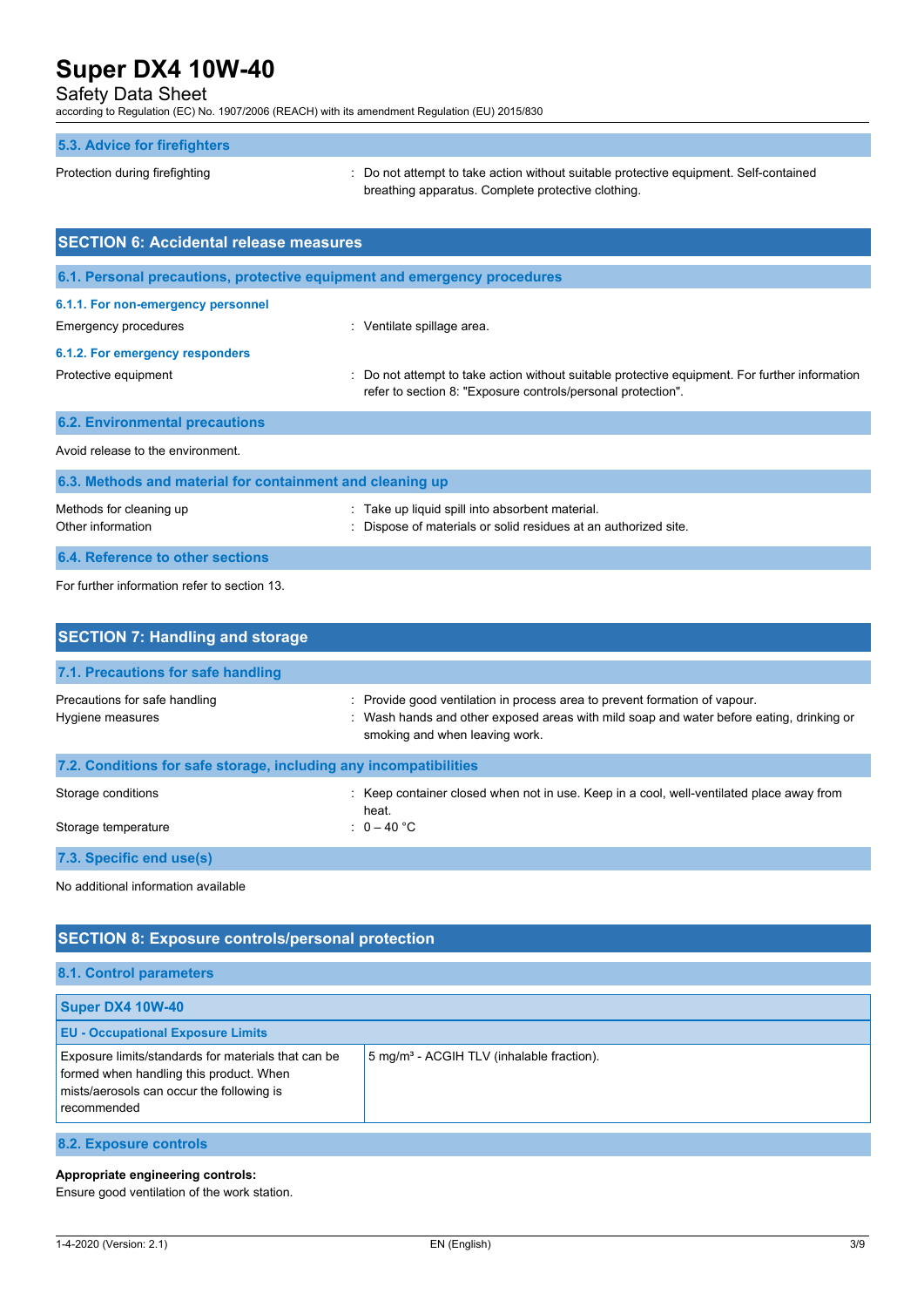### Safety Data Sheet

according to Regulation (EC) No. 1907/2006 (REACH) with its amendment Regulation (EU) 2015/830

### **5.3. Advice for firefighters**

Protection during firefighting  $\cdot$  Do not attempt to take action without suitable protective equipment. Self-contained breathing apparatus. Complete protective clothing.

| <b>SECTION 6: Accidental release measures</b>                            |                                                                                                                                                                |  |  |  |
|--------------------------------------------------------------------------|----------------------------------------------------------------------------------------------------------------------------------------------------------------|--|--|--|
| 6.1. Personal precautions, protective equipment and emergency procedures |                                                                                                                                                                |  |  |  |
| 6.1.1. For non-emergency personnel                                       |                                                                                                                                                                |  |  |  |
| Emergency procedures                                                     | : Ventilate spillage area.                                                                                                                                     |  |  |  |
| 6.1.2. For emergency responders                                          |                                                                                                                                                                |  |  |  |
| Protective equipment                                                     | : Do not attempt to take action without suitable protective equipment. For further information<br>refer to section 8: "Exposure controls/personal protection". |  |  |  |
| <b>6.2. Environmental precautions</b>                                    |                                                                                                                                                                |  |  |  |
| Avoid release to the environment.                                        |                                                                                                                                                                |  |  |  |
| 6.3. Methods and material for containment and cleaning up                |                                                                                                                                                                |  |  |  |

| Methods for cleaning up          | : Take up liquid spill into absorbent material.                 |
|----------------------------------|-----------------------------------------------------------------|
| Other information                | : Dispose of materials or solid residues at an authorized site. |
| 6.4. Reference to other sections |                                                                 |

For further information refer to section 13.

| <b>SECTION 7: Handling and storage</b>                            |                                                                                                                                                                                                          |
|-------------------------------------------------------------------|----------------------------------------------------------------------------------------------------------------------------------------------------------------------------------------------------------|
| 7.1. Precautions for safe handling                                |                                                                                                                                                                                                          |
| Precautions for safe handling<br>Hygiene measures                 | : Provide good ventilation in process area to prevent formation of vapour.<br>: Wash hands and other exposed areas with mild soap and water before eating, drinking or<br>smoking and when leaving work. |
| 7.2. Conditions for safe storage, including any incompatibilities |                                                                                                                                                                                                          |
| Storage conditions                                                | : Keep container closed when not in use. Keep in a cool, well-ventilated place away from<br>heat.                                                                                                        |
| Storage temperature                                               | : $0 - 40 °C$                                                                                                                                                                                            |
| 7.3. Specific end use(s)                                          |                                                                                                                                                                                                          |

No additional information available

| <b>SECTION 8: Exposure controls/personal protection</b>                                                                                                    |                                                       |  |  |
|------------------------------------------------------------------------------------------------------------------------------------------------------------|-------------------------------------------------------|--|--|
| <b>8.1. Control parameters</b>                                                                                                                             |                                                       |  |  |
| <b>Super DX4 10W-40</b>                                                                                                                                    |                                                       |  |  |
| <b>EU - Occupational Exposure Limits</b>                                                                                                                   |                                                       |  |  |
| Exposure limits/standards for materials that can be<br>formed when handling this product. When<br>mists/aerosols can occur the following is<br>recommended | 5 mg/m <sup>3</sup> - ACGIH TLV (inhalable fraction). |  |  |
| 8.2. Exposure controls                                                                                                                                     |                                                       |  |  |

**Appropriate engineering controls:**

Ensure good ventilation of the work station.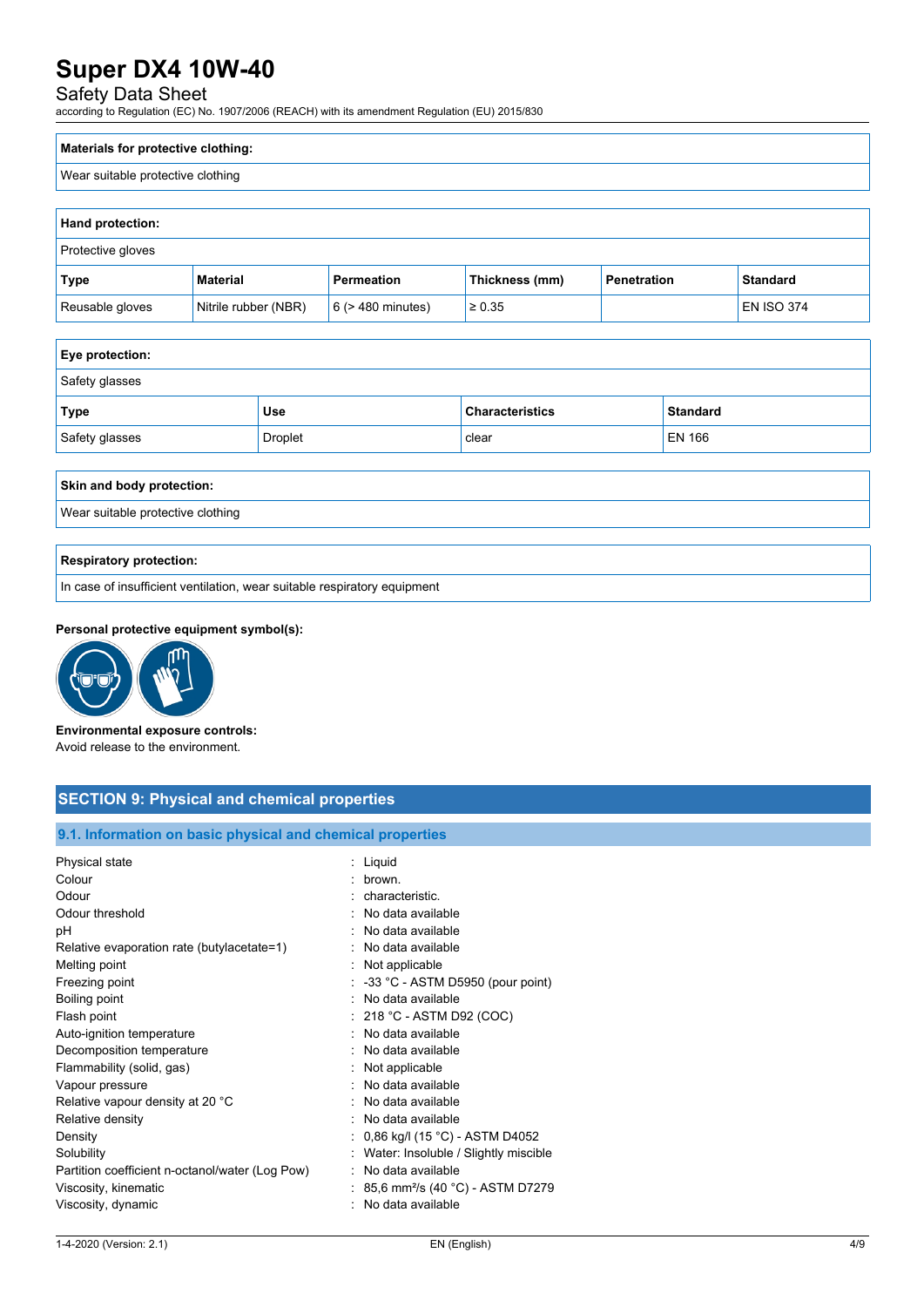# Safety Data Sheet

according to Regulation (EC) No. 1907/2006 (REACH) with its amendment Regulation (EU) 2015/830

| Materials for protective clothing: |  |
|------------------------------------|--|
| Wear suitable protective clothing  |  |

| <b>Hand protection:</b>  |                      |                        |                |             |                   |
|--------------------------|----------------------|------------------------|----------------|-------------|-------------------|
| <b>Protective gloves</b> |                      |                        |                |             |                   |
| Type                     | <b>Material</b>      | Permeation             | Thickness (mm) | Penetration | <b>Standard</b>   |
| Reusable gloves          | Nitrile rubber (NBR) | $6$ ( $>$ 480 minutes) | $\ge 0.35$     |             | <b>EN ISO 374</b> |

| Eye protection:           |                |                        |                 |
|---------------------------|----------------|------------------------|-----------------|
| Safety glasses            |                |                        |                 |
| <b>Type</b>               | <b>Use</b>     | <b>Characteristics</b> | <b>Standard</b> |
| Safety glasses            | <b>Droplet</b> | clear                  | EN 166          |
|                           |                |                        |                 |
| Skin and body protection: |                |                        |                 |

Wear suitable protective clothing

### **Respiratory protection:**

In case of insufficient ventilation, wear suitable respiratory equipment

### **Personal protective equipment symbol(s):**



**Environmental exposure controls:** Avoid release to the environment.

| <b>SECTION 9: Physical and chemical properties</b> |  |  |
|----------------------------------------------------|--|--|
|                                                    |  |  |

### **9.1. Information on basic physical and chemical properties**

| : Liquid                                      |
|-----------------------------------------------|
| · hrown                                       |
|                                               |
| : characteristic.                             |
| No data available                             |
| No data available                             |
| No data available                             |
| : Not applicable                              |
| $\therefore$ -33 °C - ASTM D5950 (pour point) |
| · No data available                           |
| $: 218 °C$ - ASTM D92 (COC)                   |
| : No data available                           |
| No data available                             |
| Not applicable                                |
| No data available                             |
| No data available                             |
| No data available                             |
| : 0,86 kg/l (15 °C) - ASTM D4052              |
| Water: Insoluble / Slightly miscible          |
| No data available                             |
| 85,6 mm <sup>2</sup> /s (40 °C) - ASTM D7279  |
| No data available                             |
|                                               |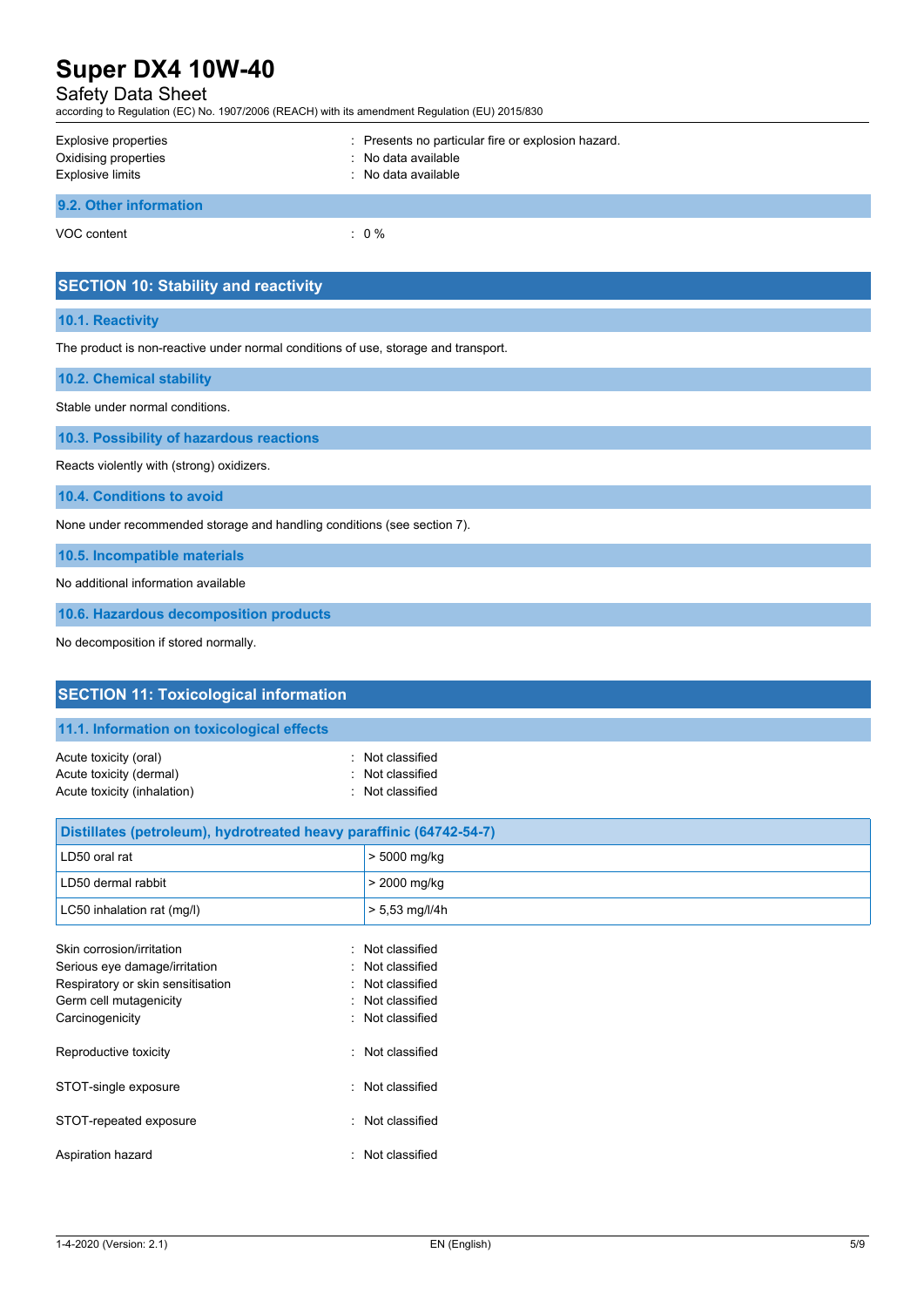# Safety Data Sheet

according to Regulation (EC) No. 1907/2006 (REACH) with its amendment Regulation (EU) 2015/830

| Explosive properties<br>Oxidising properties<br><b>Explosive limits</b> | : Presents no particular fire or explosion hazard.<br>: No data available<br>: No data available |
|-------------------------------------------------------------------------|--------------------------------------------------------------------------------------------------|
| 9.2. Other information                                                  |                                                                                                  |
| VOC content                                                             | $: 0 \%$                                                                                         |

|  | <b>SECTION 10: Stability and reactivity</b> |  |
|--|---------------------------------------------|--|

### **10.1. Reactivity**

The product is non-reactive under normal conditions of use, storage and transport.

| <b>10.2. Chemical stability</b> |
|---------------------------------|
|---------------------------------|

Stable under normal conditions.

**10.3. Possibility of hazardous reactions**

Reacts violently with (strong) oxidizers.

**10.4. Conditions to avoid**

None under recommended storage and handling conditions (see section 7).

**10.5. Incompatible materials**

No additional information available

**10.6. Hazardous decomposition products**

No decomposition if stored normally.

| <b>SECTION 11: Toxicological information</b>                                    |                                                        |  |  |  |  |
|---------------------------------------------------------------------------------|--------------------------------------------------------|--|--|--|--|
| 11.1. Information on toxicological effects                                      |                                                        |  |  |  |  |
| Acute toxicity (oral)<br>Acute toxicity (dermal)<br>Acute toxicity (inhalation) | : Not classified<br>Not classified<br>: Not classified |  |  |  |  |
| Distillates (petroleum), hydrotreated heavy paraffinic (64742-54-7)             |                                                        |  |  |  |  |
| LD50 oral rat                                                                   | > 5000 mg/kg                                           |  |  |  |  |
| LD50 dermal rabbit                                                              | > 2000 mg/kg                                           |  |  |  |  |
| LC50 inhalation rat (mg/l)                                                      | $> 5,53$ mg/l/4h                                       |  |  |  |  |
| Skin corrosion/irritation                                                       | : Not classified<br>: Not classified                   |  |  |  |  |
| Serious eye damage/irritation<br>Respiratory or skin sensitisation              | Not classified                                         |  |  |  |  |
| Germ cell mutagenicity                                                          | : Not classified                                       |  |  |  |  |
| Carcinogenicity                                                                 | : Not classified                                       |  |  |  |  |
| Reproductive toxicity                                                           | : Not classified                                       |  |  |  |  |
| STOT-single exposure                                                            | : Not classified                                       |  |  |  |  |
| STOT-repeated exposure                                                          | : Not classified                                       |  |  |  |  |
| Aspiration hazard                                                               | : Not classified                                       |  |  |  |  |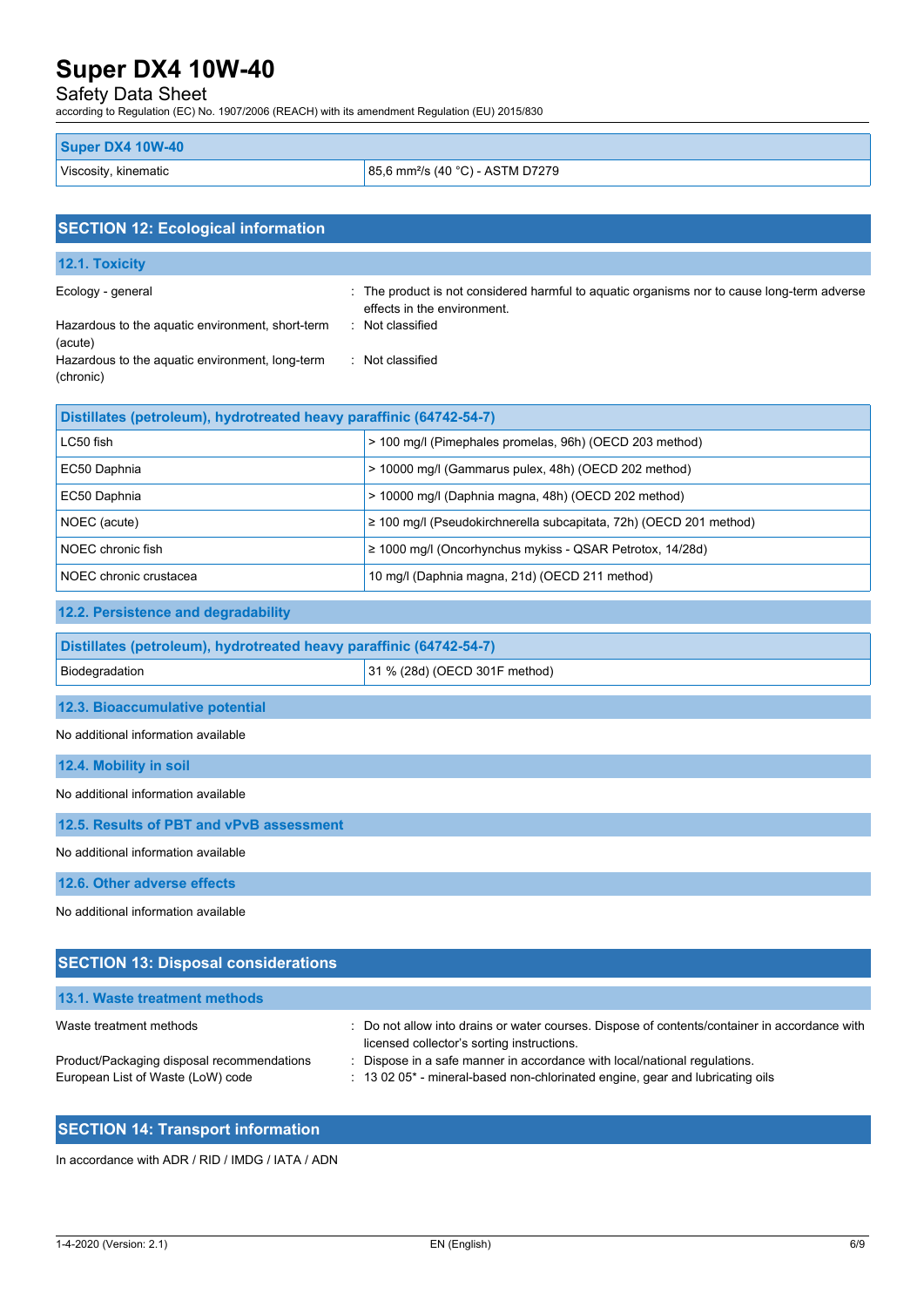## Safety Data Sheet

according to Regulation (EC) No. 1907/2006 (REACH) with its amendment Regulation (EU) 2015/830

| <b>Super DX4 10W-40</b> |                                              |
|-------------------------|----------------------------------------------|
| Viscosity, kinematic    | 85,6 mm <sup>2</sup> /s (40 °C) - ASTM D7279 |

| <b>SECTION 12: Ecological information</b>                                                                                                        |                                                                                                                                                                    |  |  |  |
|--------------------------------------------------------------------------------------------------------------------------------------------------|--------------------------------------------------------------------------------------------------------------------------------------------------------------------|--|--|--|
| 12.1. Toxicity                                                                                                                                   |                                                                                                                                                                    |  |  |  |
| Ecology - general<br>Hazardous to the aquatic environment, short-term<br>(acute)<br>Hazardous to the aquatic environment, long-term<br>(chronic) | : The product is not considered harmful to aquatic organisms nor to cause long-term adverse<br>effects in the environment.<br>: Not classified<br>: Not classified |  |  |  |
| Distillates (petroleum), hydrotreated heavy paraffinic (64742-54-7)                                                                              |                                                                                                                                                                    |  |  |  |
| LC50 fish                                                                                                                                        | > 100 mg/l (Pimephales promelas, 96h) (OECD 203 method)                                                                                                            |  |  |  |
| EC50 Daphnia                                                                                                                                     | > 10000 mg/l (Gammarus pulex, 48h) (OECD 202 method)                                                                                                               |  |  |  |
| EC50 Daphnia                                                                                                                                     | > 10000 mg/l (Daphnia magna, 48h) (OECD 202 method)                                                                                                                |  |  |  |
| NOEC (acute)                                                                                                                                     | ≥ 100 mg/l (Pseudokirchnerella subcapitata, 72h) (OECD 201 method)                                                                                                 |  |  |  |
| NOEC chronic fish                                                                                                                                | ≥ 1000 mg/l (Oncorhynchus mykiss - QSAR Petrotox, 14/28d)                                                                                                          |  |  |  |
| NOEC chronic crustacea                                                                                                                           | 10 mg/l (Daphnia magna, 21d) (OECD 211 method)                                                                                                                     |  |  |  |
| 12.2. Persistence and degradability                                                                                                              |                                                                                                                                                                    |  |  |  |
| Distillates (petroleum), hydrotreated heavy paraffinic (64742-54-7)                                                                              |                                                                                                                                                                    |  |  |  |
| Biodegradation                                                                                                                                   | 31 % (28d) (OECD 301F method)                                                                                                                                      |  |  |  |
| 12.3. Bioaccumulative potential                                                                                                                  |                                                                                                                                                                    |  |  |  |
| No additional information available                                                                                                              |                                                                                                                                                                    |  |  |  |
| 12.4. Mobility in soil                                                                                                                           |                                                                                                                                                                    |  |  |  |
| No additional information available                                                                                                              |                                                                                                                                                                    |  |  |  |
| 12.5. Results of PBT and vPvB assessment                                                                                                         |                                                                                                                                                                    |  |  |  |
| No additional information available                                                                                                              |                                                                                                                                                                    |  |  |  |
| 12.6. Other adverse effects                                                                                                                      |                                                                                                                                                                    |  |  |  |
| No additional information available                                                                                                              |                                                                                                                                                                    |  |  |  |
| <b>SECTION 13: Disposal considerations</b>                                                                                                       |                                                                                                                                                                    |  |  |  |

| 13.1. Waste treatment methods                                                   |                                                                                                                                                                    |
|---------------------------------------------------------------------------------|--------------------------------------------------------------------------------------------------------------------------------------------------------------------|
| Waste treatment methods                                                         | : Do not allow into drains or water courses. Dispose of contents/container in accordance with<br>licensed collector's sorting instructions.                        |
| Product/Packaging disposal recommendations<br>European List of Waste (LoW) code | : Dispose in a safe manner in accordance with local/national regulations.<br>$\pm$ 13 02 05 $^*$ - mineral-based non-chlorinated engine, gear and lubricating oils |

## **SECTION 14: Transport information**

In accordance with ADR / RID / IMDG / IATA / ADN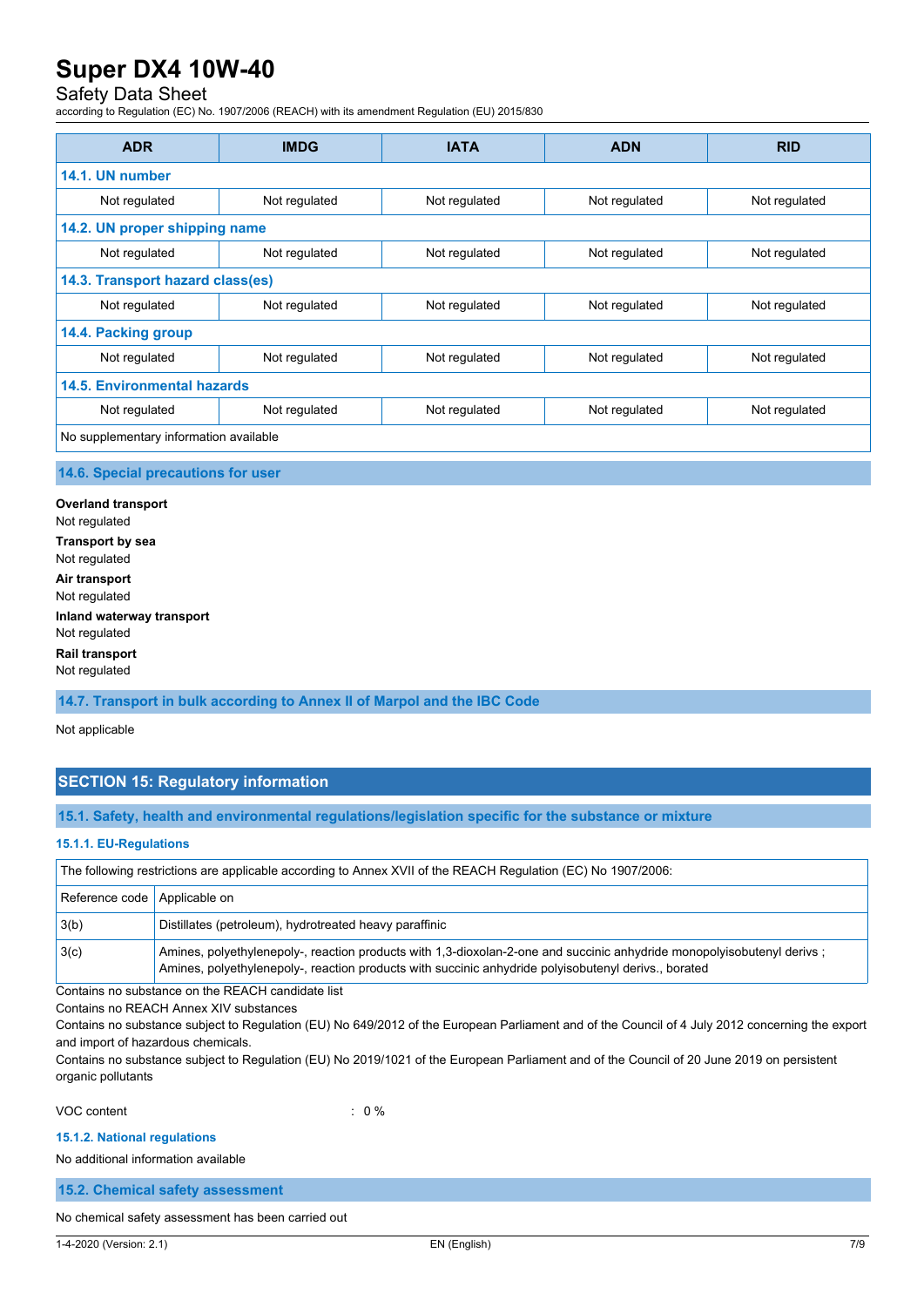### Safety Data Sheet

according to Regulation (EC) No. 1907/2006 (REACH) with its amendment Regulation (EU) 2015/830

| <b>ADR</b>                             | <b>IMDG</b>                      | <b>IATA</b>   | <b>ADN</b>    | <b>RID</b>    |  |
|----------------------------------------|----------------------------------|---------------|---------------|---------------|--|
| 14.1. UN number                        |                                  |               |               |               |  |
| Not regulated                          | Not regulated                    | Not regulated | Not regulated | Not regulated |  |
| 14.2. UN proper shipping name          |                                  |               |               |               |  |
| Not regulated                          | Not regulated                    | Not regulated | Not regulated | Not regulated |  |
|                                        | 14.3. Transport hazard class(es) |               |               |               |  |
| Not regulated                          | Not regulated                    | Not regulated | Not regulated | Not regulated |  |
| 14.4. Packing group                    |                                  |               |               |               |  |
| Not regulated                          | Not regulated                    | Not regulated | Not regulated | Not regulated |  |
| <b>14.5. Environmental hazards</b>     |                                  |               |               |               |  |
| Not regulated                          | Not regulated                    | Not regulated | Not regulated | Not regulated |  |
| No supplementary information available |                                  |               |               |               |  |

### **14.6. Special precautions for user**

**Overland transport** Not regulated **Transport by sea** Not regulated **Air transport** Not regulated **Inland waterway transport** Not regulated **Rail transport** Not regulated

**14.7. Transport in bulk according to Annex II of Marpol and the IBC Code**

Not applicable

### **SECTION 15: Regulatory information**

**15.1. Safety, health and environmental regulations/legislation specific for the substance or mixture**

### **15.1.1. EU-Regulations**

The following restrictions are applicable according to Annex XVII of the REACH Regulation (EC) No 1907/2006:

| Reference code Applicable on |                                                                                                                                                                                                                                |
|------------------------------|--------------------------------------------------------------------------------------------------------------------------------------------------------------------------------------------------------------------------------|
| 3(b)                         | Distillates (petroleum), hydrotreated heavy paraffinic                                                                                                                                                                         |
| 3(c)                         | Amines, polyethylenepoly-, reaction products with 1,3-dioxolan-2-one and succinic anhydride monopolyisobutenyl derivs;<br>Amines, polyethylenepoly-, reaction products with succinic anhydride polyisobutenyl derivs., borated |

Contains no substance on the REACH candidate list

Contains no REACH Annex XIV substances

Contains no substance subject to Regulation (EU) No 649/2012 of the European Parliament and of the Council of 4 July 2012 concerning the export and import of hazardous chemicals.

Contains no substance subject to Regulation (EU) No 2019/1021 of the European Parliament and of the Council of 20 June 2019 on persistent organic pollutants

VOC content : 0 %

#### **15.1.2. National regulations**

No additional information available

**15.2. Chemical safety assessment**

No chemical safety assessment has been carried out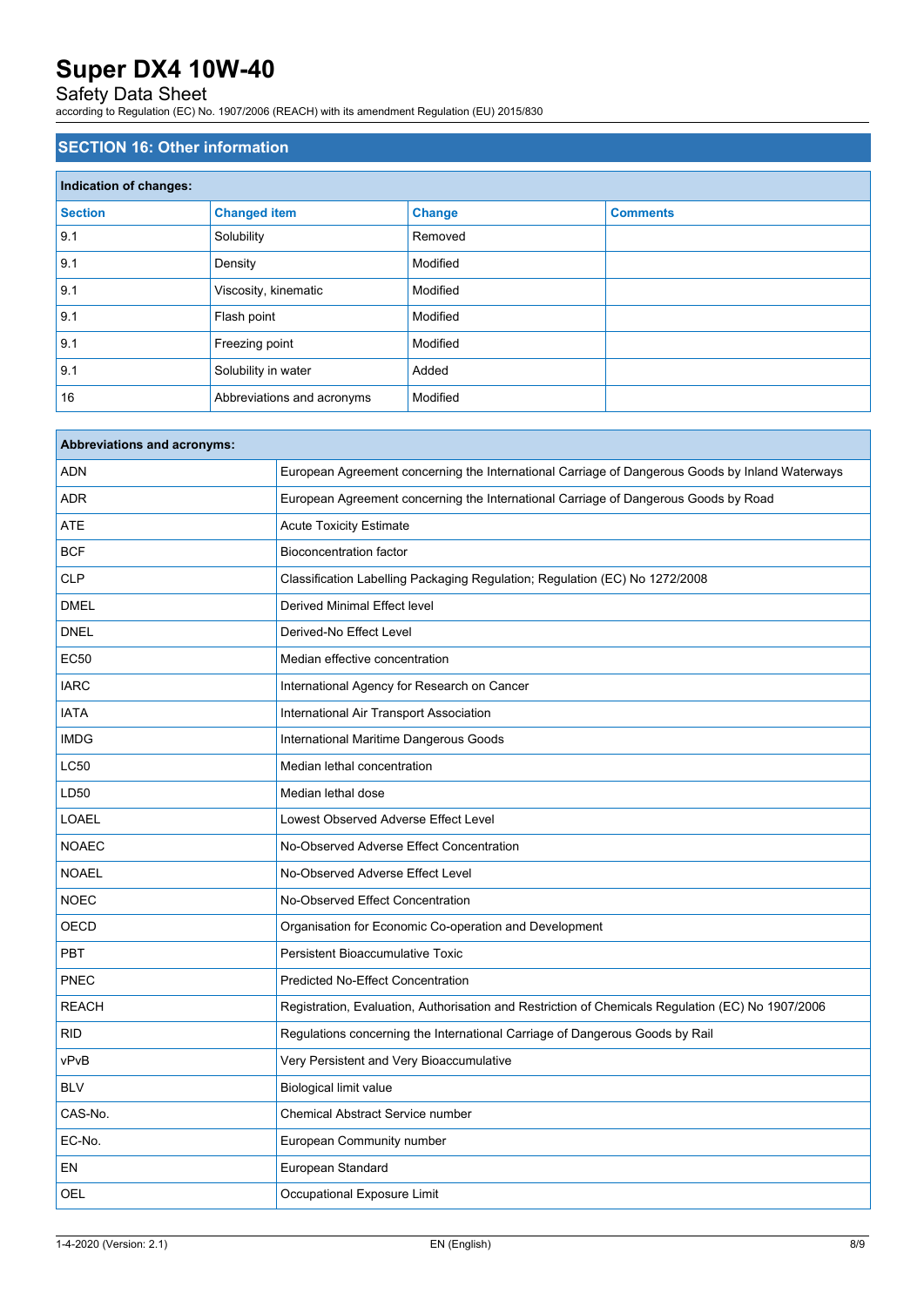## Safety Data Sheet

according to Regulation (EC) No. 1907/2006 (REACH) with its amendment Regulation (EU) 2015/830

### **SECTION 16: Other information**

| Indication of changes: |                            |               |                 |  |
|------------------------|----------------------------|---------------|-----------------|--|
| <b>Section</b>         | <b>Changed item</b>        | <b>Change</b> | <b>Comments</b> |  |
| 9.1                    | Solubility                 | Removed       |                 |  |
| 9.1                    | Density                    | Modified      |                 |  |
| 9.1                    | Viscosity, kinematic       | Modified      |                 |  |
| 9.1                    | Flash point                | Modified      |                 |  |
| 9.1                    | Freezing point             | Modified      |                 |  |
| 9.1                    | Solubility in water        | Added         |                 |  |
| 16                     | Abbreviations and acronyms | Modified      |                 |  |

| <b>Abbreviations and acronyms:</b> |                                                                                                   |
|------------------------------------|---------------------------------------------------------------------------------------------------|
| <b>ADN</b>                         | European Agreement concerning the International Carriage of Dangerous Goods by Inland Waterways   |
| <b>ADR</b>                         | European Agreement concerning the International Carriage of Dangerous Goods by Road               |
| ATE                                | <b>Acute Toxicity Estimate</b>                                                                    |
| <b>BCF</b>                         | <b>Bioconcentration factor</b>                                                                    |
| <b>CLP</b>                         | Classification Labelling Packaging Regulation; Regulation (EC) No 1272/2008                       |
| <b>DMEL</b>                        | Derived Minimal Effect level                                                                      |
| <b>DNEL</b>                        | Derived-No Effect Level                                                                           |
| <b>EC50</b>                        | Median effective concentration                                                                    |
| <b>IARC</b>                        | International Agency for Research on Cancer                                                       |
| <b>IATA</b>                        | International Air Transport Association                                                           |
| <b>IMDG</b>                        | International Maritime Dangerous Goods                                                            |
| <b>LC50</b>                        | Median lethal concentration                                                                       |
| LD50                               | Median lethal dose                                                                                |
| <b>LOAEL</b>                       | Lowest Observed Adverse Effect Level                                                              |
| <b>NOAEC</b>                       | No-Observed Adverse Effect Concentration                                                          |
| <b>NOAEL</b>                       | No-Observed Adverse Effect Level                                                                  |
| <b>NOEC</b>                        | No-Observed Effect Concentration                                                                  |
| <b>OECD</b>                        | Organisation for Economic Co-operation and Development                                            |
| <b>PBT</b>                         | Persistent Bioaccumulative Toxic                                                                  |
| <b>PNEC</b>                        | Predicted No-Effect Concentration                                                                 |
| <b>REACH</b>                       | Registration, Evaluation, Authorisation and Restriction of Chemicals Regulation (EC) No 1907/2006 |
| <b>RID</b>                         | Regulations concerning the International Carriage of Dangerous Goods by Rail                      |
| vPvB                               | Very Persistent and Very Bioaccumulative                                                          |
| <b>BLV</b>                         | Biological limit value                                                                            |
| CAS-No.                            | Chemical Abstract Service number                                                                  |
| EC-No.                             | European Community number                                                                         |
| EN                                 | European Standard                                                                                 |
| OEL                                | Occupational Exposure Limit                                                                       |
|                                    |                                                                                                   |